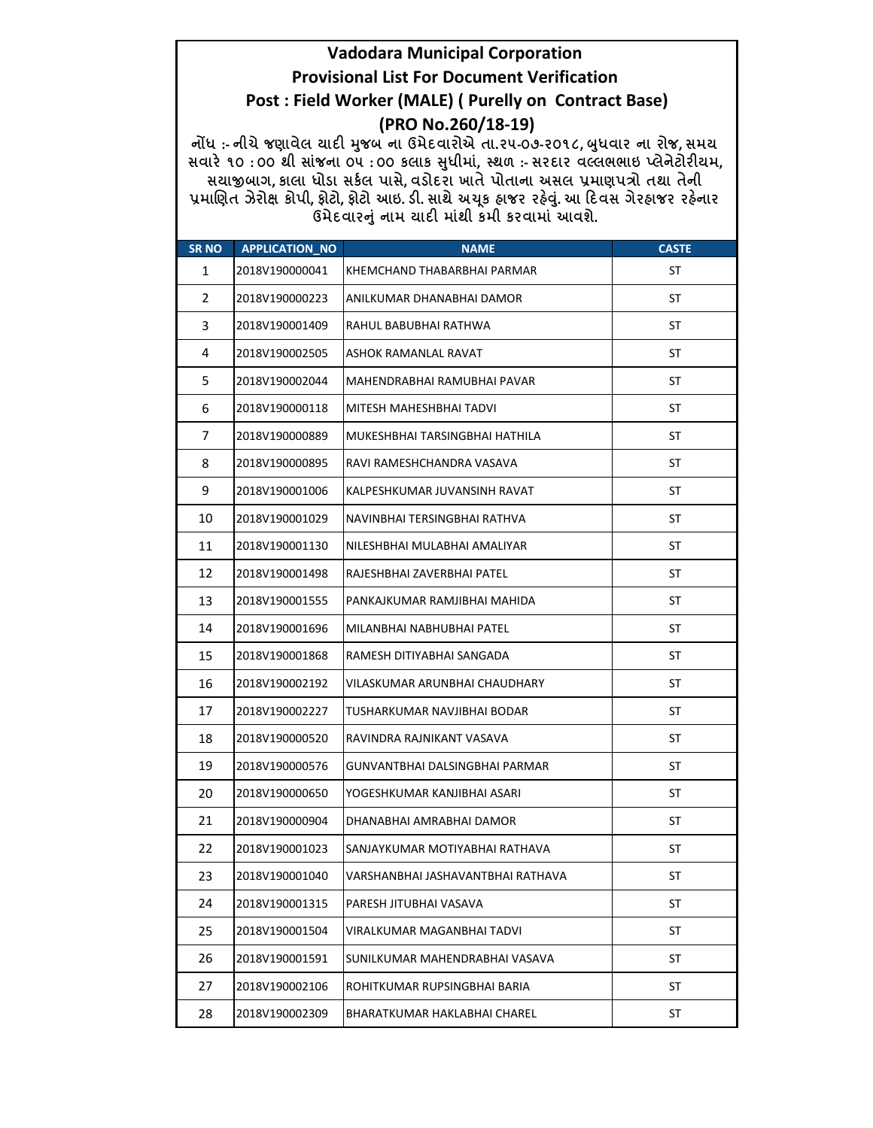## Vadodara Municipal Corporation Provisional List For Document Verification Post : Field Worker (MALE) ( Purelly on Contract Base) (PRO No.260/18-19)

નોંધ :- નીચે જણાવેલ ચાદી મુજબ ના ઉમેદવારોએ તા.૨૫-૦૭-૨૦૧૮, બુધવાર ના રોજ, સમય સવારે ૧૦ : ૦૦ થી સાંજના ૦૫ : ૦૦ કલાક સુધીમાં, સ્થળ :- સરદાર વલ્લભભાઇ પ્લેનેટોરીયમ, સયાજીબાગ, કાલા ધોડા સર્કલ પાસે, વડોદરા ખાતે પોતાના અસલ પ્રમાણપત્રો તથા તેની પ્રમાણિત ઝેરોક્ષ કોપી, ફોટો, ફોટો આઇ. ડી. સાથે અચૂક હ્રાજર રહેવું. આ દિવસ ગેરહ્રાજર રહેનાર ઉમેદવારનું નામ ચાદી માંથી કમી કરવામાં આવશે.

| <b>SR NO</b>   | <b>APPLICATION NO</b> | <b>NAME</b>                       | <b>CASTE</b> |
|----------------|-----------------------|-----------------------------------|--------------|
| 1              | 2018V190000041        | KHEMCHAND THABARBHAI PARMAR       | ST           |
| $\overline{2}$ | 2018V190000223        | ANILKUMAR DHANABHAI DAMOR         | ST           |
| 3              | 2018V190001409        | RAHUL BABUBHAI RATHWA             | ST           |
| 4              | 2018V190002505        | ASHOK RAMANLAL RAVAT              | ST           |
| 5              | 2018V190002044        | MAHENDRABHAI RAMUBHAI PAVAR       | ST           |
| 6              | 2018V190000118        | MITESH MAHESHBHAI TADVI           | ST           |
| 7              | 2018V190000889        | MUKESHBHAI TARSINGBHAI HATHILA    | ST           |
| 8              | 2018V190000895        | RAVI RAMESHCHANDRA VASAVA         | ST           |
| 9              | 2018V190001006        | KALPESHKUMAR JUVANSINH RAVAT      | ST           |
| 10             | 2018V190001029        | NAVINBHAI TERSINGBHAI RATHVA      | ST           |
| 11             | 2018V190001130        | NILESHBHAI MULABHAI AMALIYAR      | ST           |
| 12             | 2018V190001498        | RAJESHBHAI ZAVERBHAI PATEL        | ST           |
| 13             | 2018V190001555        | PANKAJKUMAR RAMJIBHAI MAHIDA      | ST           |
| 14             | 2018V190001696        | MILANBHAI NABHUBHAI PATEL         | ST           |
| 15             | 2018V190001868        | RAMESH DITIYABHAI SANGADA         | ST           |
| 16             | 2018V190002192        | VILASKUMAR ARUNBHAI CHAUDHARY     | ST           |
| 17             | 2018V190002227        | TUSHARKUMAR NAVJIBHAI BODAR       | ST           |
| 18             | 2018V190000520        | RAVINDRA RAJNIKANT VASAVA         | ST           |
| 19             | 2018V190000576        | GUNVANTBHAI DALSINGBHAI PARMAR    | ST           |
| 20             | 2018V190000650        | YOGESHKUMAR KANJIBHAI ASARI       | ST           |
| 21             | 2018V190000904        | DHANABHAI AMRABHAI DAMOR          | ST           |
| 22             | 2018V190001023        | SANJAYKUMAR MOTIYABHAI RATHAVA    | ST           |
| 23             | 2018V190001040        | VARSHANBHAI JASHAVANTBHAI RATHAVA | <b>ST</b>    |
| 24             | 2018V190001315        | PARESH JITUBHAI VASAVA            | ST           |
| 25             | 2018V190001504        | VIRALKUMAR MAGANBHAI TADVI        | ST           |
| 26             | 2018V190001591        | SUNILKUMAR MAHENDRABHAI VASAVA    | ST           |
| 27             | 2018V190002106        | ROHITKUMAR RUPSINGBHAI BARIA      | ST           |
| 28             | 2018V190002309        | BHARATKUMAR HAKLABHAI CHAREL      | ST           |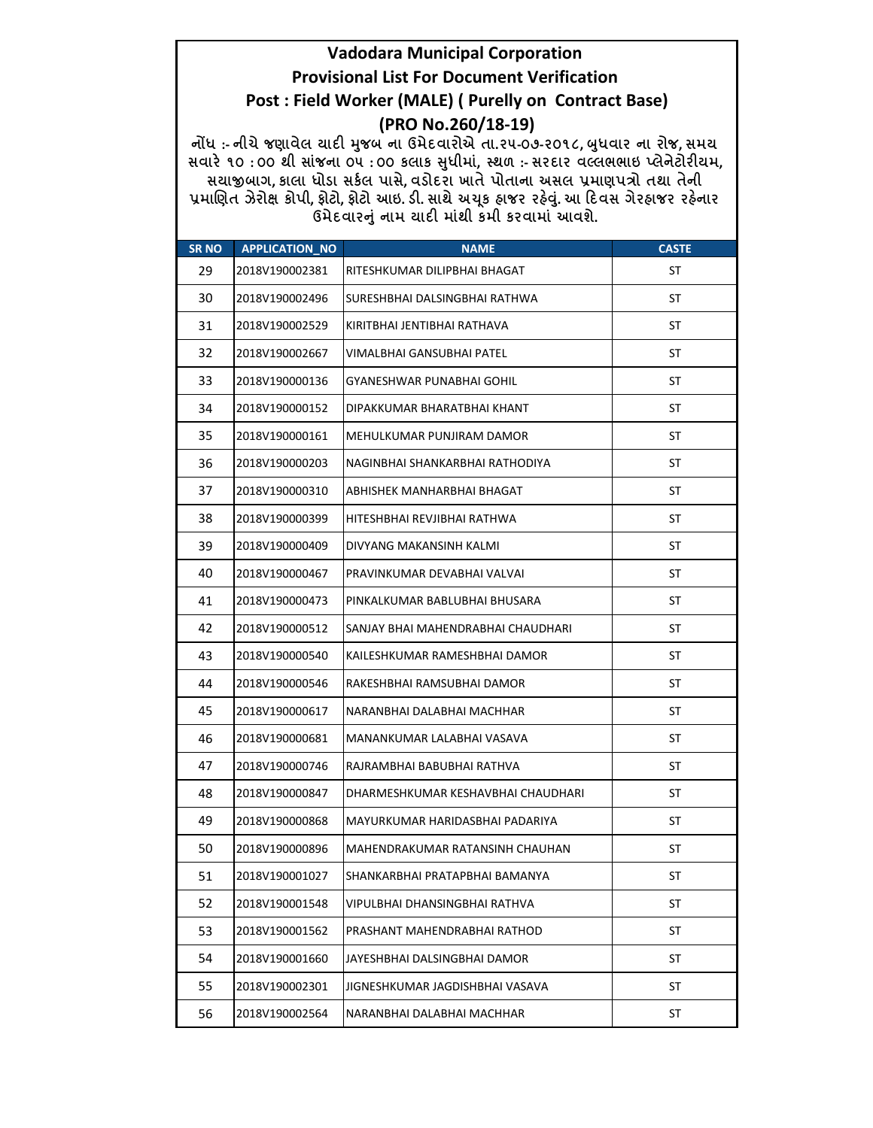## **Vadodara Municipal Corporation Provisional List For Document Verification** Post : Field Worker (MALE) ( Purelly on Contract Base) (PRO No.260/18-19)

નોંધ :- નીચે જણાવેલ ચાદી મુજબ ના ઉમેદવારોએ તા.૨૫-૦૭-૨૦૧૮, બુધવાર ના રોજ, સમય સવારે ૧૦:00 થી સાંજના ou :00 કલાક સુધીમાં, સ્થળ :- સરદાર વલ્લભભાઇ પ્લેનેટોરીયમ, સચાજીબાગ, કાલા ધોડા સર્કલ પાસે, વડોદરા ખાતે પોતાના અસલ પ્રમાણપત્રો તથા તેની પ્રમાણિત ઝેરોક્ષ કોપી, ફોટો, ફોટો આઇ. ડી. સાથે અચૂક હાજર રહેવું. આ દિવસ ગેરહાજર રહેનાર ઉમેદવારનું નામ યાદી માંથી કમી કરવામાં આવશે.

| <b>SR NO</b> | <b>APPLICATION NO</b> | <b>NAME</b>                        | <b>CASTE</b> |
|--------------|-----------------------|------------------------------------|--------------|
| 29           | 2018V190002381        | RITESHKUMAR DILIPBHAI BHAGAT       | ST           |
| 30           | 2018V190002496        | SURESHBHAI DALSINGBHAI RATHWA      | ST           |
| 31           | 2018V190002529        | KIRITBHAI JENTIBHAI RATHAVA        | ST           |
| 32           | 2018V190002667        | VIMALBHAI GANSUBHAI PATEL          | ST           |
| 33           | 2018V190000136        | GYANESHWAR PUNABHAI GOHIL          | ST           |
| 34           | 2018V190000152        | DIPAKKUMAR BHARATBHAI KHANT        | ST           |
| 35           | 2018V190000161        | MEHULKUMAR PUNJIRAM DAMOR          | ST           |
| 36           | 2018V190000203        | NAGINBHAI SHANKARBHAI RATHODIYA    | ST           |
| 37           | 2018V190000310        | ABHISHEK MANHARBHAI BHAGAT         | ST           |
| 38           | 2018V190000399        | HITESHBHAI REVJIBHAI RATHWA        | ST           |
| 39           | 2018V190000409        | DIVYANG MAKANSINH KALMI            | ST           |
| 40           | 2018V190000467        | PRAVINKUMAR DEVABHAI VALVAI        | ST           |
| 41           | 2018V190000473        | PINKALKUMAR BABLUBHAI BHUSARA      | ST           |
| 42           | 2018V190000512        | SANJAY BHAI MAHENDRABHAI CHAUDHARI | ST           |
| 43           | 2018V190000540        | KAILESHKUMAR RAMESHBHAI DAMOR      | ST           |
| 44           | 2018V190000546        | RAKESHBHAI RAMSUBHAI DAMOR         | ST           |
| 45           | 2018V190000617        | NARANBHAI DALABHAI MACHHAR         | ST           |
| 46           | 2018V190000681        | MANANKUMAR LALABHAI VASAVA         | ST           |
| 47           | 2018V190000746        | RAJRAMBHAI BABUBHAI RATHVA         | ST           |
| 48           | 2018V190000847        | DHARMESHKUMAR KESHAVBHAI CHAUDHARI | ST           |
| 49           | 2018V190000868        | MAYURKUMAR HARIDASBHAI PADARIYA    | ST           |
| 50           | 2018V190000896        | MAHENDRAKUMAR RATANSINH CHAUHAN    | ST           |
| 51           | 2018V190001027        | SHANKARBHAI PRATAPBHAI BAMANYA     | <b>ST</b>    |
| 52           | 2018V190001548        | VIPULBHAI DHANSINGBHAI RATHVA      | ST           |
| 53           | 2018V190001562        | PRASHANT MAHENDRABHAI RATHOD       | ST           |
| 54           | 2018V190001660        | JAYESHBHAI DALSINGBHAI DAMOR       | ST           |
| 55           | 2018V190002301        | JIGNESHKUMAR JAGDISHBHAI VASAVA    | ST           |
| 56           | 2018V190002564        | NARANBHAI DALABHAI MACHHAR         | ST           |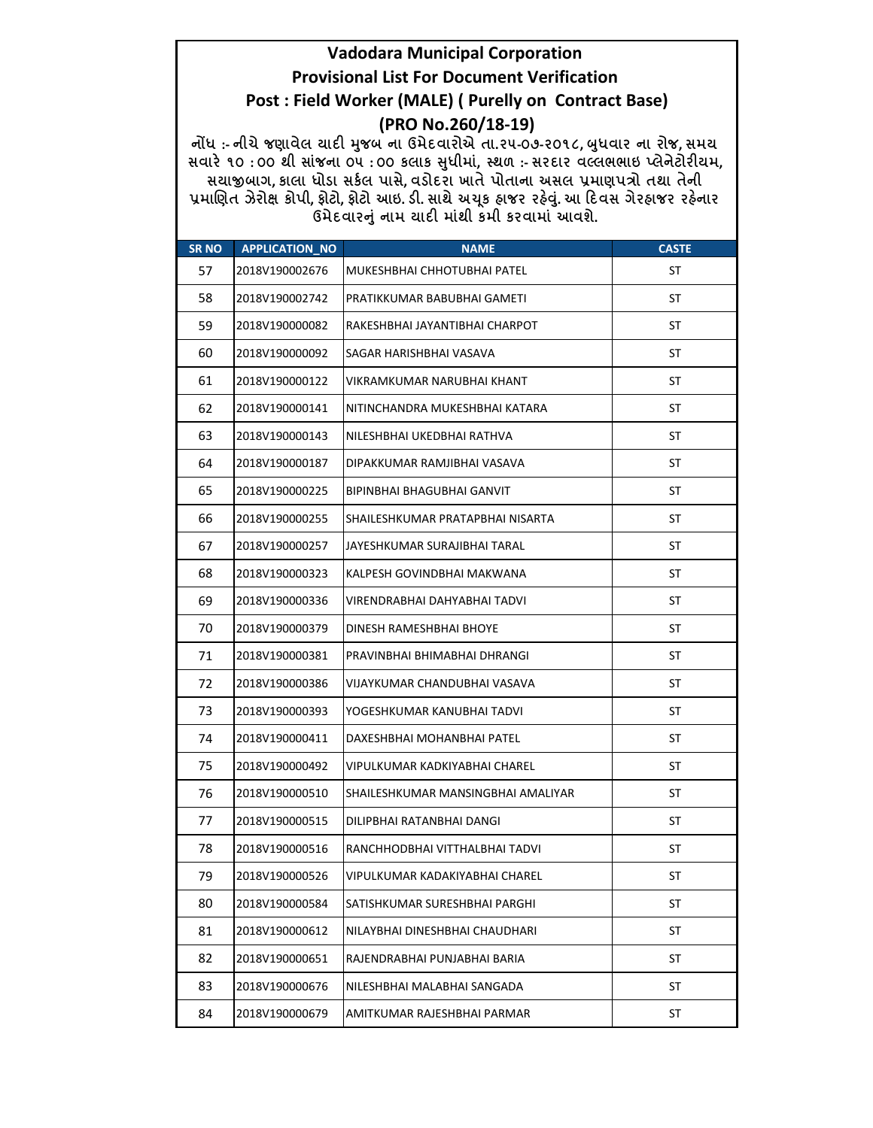## **Vadodara Municipal Corporation Provisional List For Document Verification** Post : Field Worker (MALE) ( Purelly on Contract Base) (PRO No.260/18-19)

નોંધ :- નીચે જણાવેલ ચાદી મુજબ ના ઉમેદવારોએ તા.૨૫-૦૭-૨૦૧૮, બુધવાર ના રોજ, સમય સવારે ૧૦:00 થી સાંજના ou :00 કલાક સુધીમાં, સ્થળ :- સરદાર વલ્લભભાઇ પ્લેનેટોરીયમ, સચાજીબાગ, કાલા ધોડા સર્કલ પાસે, વડોદરા ખાતે પોતાના અસલ પ્રમાણપત્રો તથા તેની પ્રમાણિત ઝેરોક્ષ કોપી, ફોટો, ફોટો આઇ. ડી. સાથે અચૂક હાજર રહેવું. આ દિવસ ગેરહાજર રહેનાર ઉમેદવારનું નામ યાદી માંથી કમી કરવામાં આવશે.

| <b>SR NO</b> | APPLICATION_NO | <b>NAME</b>                        | <b>CASTE</b> |
|--------------|----------------|------------------------------------|--------------|
| 57           | 2018V190002676 | MUKESHBHAI CHHOTUBHAI PATEL        | ST           |
| 58           | 2018V190002742 | PRATIKKUMAR BABUBHAI GAMETI        | ST           |
| 59           | 2018V190000082 | RAKESHBHAI JAYANTIBHAI CHARPOT     | ST           |
| 60           | 2018V190000092 | SAGAR HARISHBHAI VASAVA            | ST           |
| 61           | 2018V190000122 | VIKRAMKUMAR NARUBHAI KHANT         | ST           |
| 62           | 2018V190000141 | NITINCHANDRA MUKESHBHAI KATARA     | ST           |
| 63           | 2018V190000143 | NILESHBHAI UKEDBHAI RATHVA         | ST           |
| 64           | 2018V190000187 | DIPAKKUMAR RAMJIBHAI VASAVA        | ST           |
| 65           | 2018V190000225 | BIPINBHAI BHAGUBHAI GANVIT         | ST           |
| 66           | 2018V190000255 | SHAILESHKUMAR PRATAPBHAI NISARTA   | ST           |
| 67           | 2018V190000257 | JAYESHKUMAR SURAJIBHAI TARAL       | ST           |
| 68           | 2018V190000323 | KALPESH GOVINDBHAI MAKWANA         | ST           |
| 69           | 2018V190000336 | VIRENDRABHAI DAHYABHAI TADVI       | ST           |
| 70           | 2018V190000379 | DINESH RAMESHBHAI BHOYE            | <b>ST</b>    |
| 71           | 2018V190000381 | PRAVINBHAI BHIMABHAI DHRANGI       | ST           |
| 72           | 2018V190000386 | VIJAYKUMAR CHANDUBHAI VASAVA       | ST           |
| 73           | 2018V190000393 | YOGESHKUMAR KANUBHAI TADVI         | ST           |
| 74           | 2018V190000411 | DAXESHBHAI MOHANBHAI PATEL         | ST           |
| 75           | 2018V190000492 | VIPULKUMAR KADKIYABHAI CHAREL      | ST           |
| 76           | 2018V190000510 | SHAILESHKUMAR MANSINGBHAI AMALIYAR | ST           |
| 77           | 2018V190000515 | DILIPBHAI RATANBHAI DANGI          | ST           |
| 78           | 2018V190000516 | RANCHHODBHAI VITTHALBHAI TADVI     | ST           |
| 79           | 2018V190000526 | VIPULKUMAR KADAKIYABHAI CHAREL     | <b>ST</b>    |
| 80           | 2018V190000584 | SATISHKUMAR SURESHBHAI PARGHI      | ST           |
| 81           | 2018V190000612 | NILAYBHAI DINESHBHAI CHAUDHARI     | ST           |
| 82           | 2018V190000651 | RAJENDRABHAI PUNJABHAI BARIA       | ST           |
| 83           | 2018V190000676 | NILESHBHAI MALABHAI SANGADA        | ST           |
| 84           | 2018V190000679 | AMITKUMAR RAJESHBHAI PARMAR        | ST           |